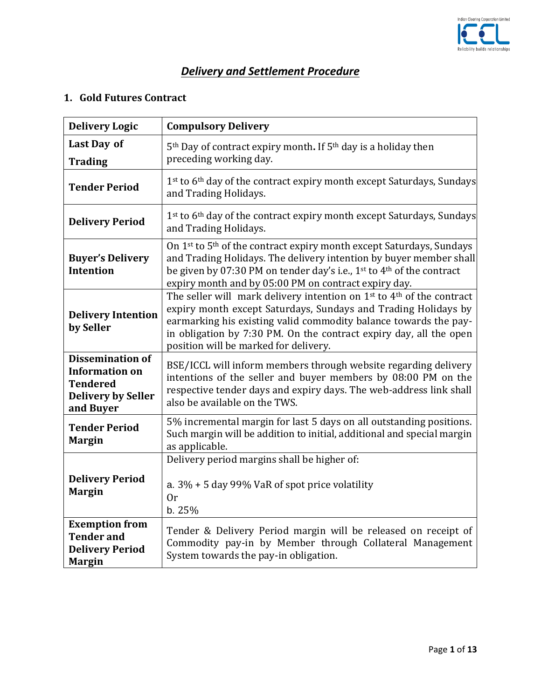

## *Delivery and Settlement Procedure*

## **1. Gold Futures Contract**

| <b>Delivery Logic</b>                                                                                         | <b>Compulsory Delivery</b>                                                                                                                                                                                                                                                                                                                         |
|---------------------------------------------------------------------------------------------------------------|----------------------------------------------------------------------------------------------------------------------------------------------------------------------------------------------------------------------------------------------------------------------------------------------------------------------------------------------------|
| Last Day of<br><b>Trading</b>                                                                                 | 5 <sup>th</sup> Day of contract expiry month. If 5 <sup>th</sup> day is a holiday then<br>preceding working day.                                                                                                                                                                                                                                   |
| <b>Tender Period</b>                                                                                          | 1st to 6 <sup>th</sup> day of the contract expiry month except Saturdays, Sundays<br>and Trading Holidays.                                                                                                                                                                                                                                         |
| <b>Delivery Period</b>                                                                                        | 1st to 6 <sup>th</sup> day of the contract expiry month except Saturdays, Sundays<br>and Trading Holidays.                                                                                                                                                                                                                                         |
| <b>Buyer's Delivery</b><br><b>Intention</b>                                                                   | On 1st to 5th of the contract expiry month except Saturdays, Sundays<br>and Trading Holidays. The delivery intention by buyer member shall<br>be given by 07:30 PM on tender day's i.e., 1 <sup>st</sup> to 4 <sup>th</sup> of the contract<br>expiry month and by 05:00 PM on contract expiry day.                                                |
| <b>Delivery Intention</b><br>by Seller                                                                        | The seller will mark delivery intention on 1 <sup>st</sup> to 4 <sup>th</sup> of the contract<br>expiry month except Saturdays, Sundays and Trading Holidays by<br>earmarking his existing valid commodity balance towards the pay-<br>in obligation by 7:30 PM. On the contract expiry day, all the open<br>position will be marked for delivery. |
| <b>Dissemination of</b><br><b>Information on</b><br><b>Tendered</b><br><b>Delivery by Seller</b><br>and Buyer | BSE/ICCL will inform members through website regarding delivery<br>intentions of the seller and buyer members by 08:00 PM on the<br>respective tender days and expiry days. The web-address link shall<br>also be available on the TWS.                                                                                                            |
| <b>Tender Period</b><br><b>Margin</b>                                                                         | 5% incremental margin for last 5 days on all outstanding positions.<br>Such margin will be addition to initial, additional and special margin<br>as applicable.                                                                                                                                                                                    |
| <b>Delivery Period</b><br><b>Margin</b>                                                                       | Delivery period margins shall be higher of:<br>a. $3\%$ + 5 day 99% VaR of spot price volatility<br>0r<br>b. 25%                                                                                                                                                                                                                                   |
| <b>Exemption from</b><br><b>Tender and</b><br><b>Delivery Period</b><br><b>Margin</b>                         | Tender & Delivery Period margin will be released on receipt of<br>Commodity pay-in by Member through Collateral Management<br>System towards the pay-in obligation.                                                                                                                                                                                |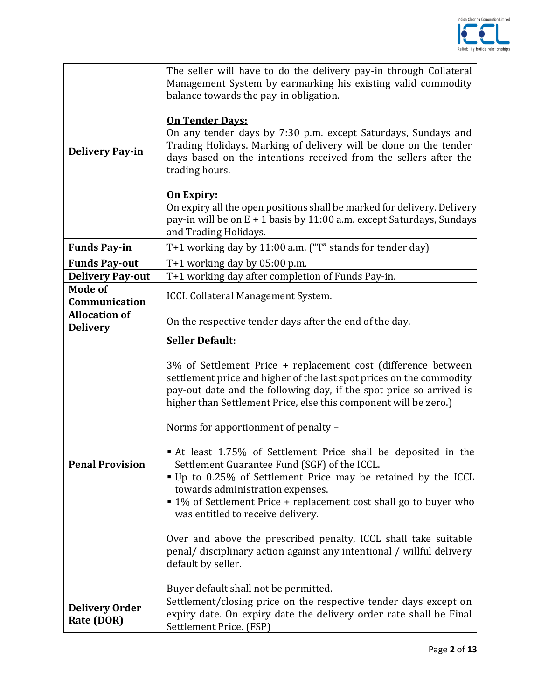

| <b>Delivery Pay-in</b>                  | The seller will have to do the delivery pay-in through Collateral<br>Management System by earmarking his existing valid commodity<br>balance towards the pay-in obligation.<br><b>On Tender Days:</b><br>On any tender days by 7:30 p.m. except Saturdays, Sundays and<br>Trading Holidays. Marking of delivery will be done on the tender<br>days based on the intentions received from the sellers after the<br>trading hours.<br><u>On Expiry:</u><br>On expiry all the open positions shall be marked for delivery. Delivery<br>pay-in will be on E + 1 basis by 11:00 a.m. except Saturdays, Sundays<br>and Trading Holidays.                                                                                                                                                                                                                                                           |
|-----------------------------------------|----------------------------------------------------------------------------------------------------------------------------------------------------------------------------------------------------------------------------------------------------------------------------------------------------------------------------------------------------------------------------------------------------------------------------------------------------------------------------------------------------------------------------------------------------------------------------------------------------------------------------------------------------------------------------------------------------------------------------------------------------------------------------------------------------------------------------------------------------------------------------------------------|
| <b>Funds Pay-in</b>                     | T+1 working day by 11:00 a.m. ("T" stands for tender day)                                                                                                                                                                                                                                                                                                                                                                                                                                                                                                                                                                                                                                                                                                                                                                                                                                    |
| <b>Funds Pay-out</b>                    | $T+1$ working day by 05:00 p.m.                                                                                                                                                                                                                                                                                                                                                                                                                                                                                                                                                                                                                                                                                                                                                                                                                                                              |
| <b>Delivery Pay-out</b>                 | T+1 working day after completion of Funds Pay-in.                                                                                                                                                                                                                                                                                                                                                                                                                                                                                                                                                                                                                                                                                                                                                                                                                                            |
| <b>Mode of</b><br>Communication         | ICCL Collateral Management System.                                                                                                                                                                                                                                                                                                                                                                                                                                                                                                                                                                                                                                                                                                                                                                                                                                                           |
| <b>Allocation of</b><br><b>Delivery</b> | On the respective tender days after the end of the day.                                                                                                                                                                                                                                                                                                                                                                                                                                                                                                                                                                                                                                                                                                                                                                                                                                      |
| <b>Penal Provision</b>                  | <b>Seller Default:</b><br>3% of Settlement Price + replacement cost (difference between<br>settlement price and higher of the last spot prices on the commodity<br>pay-out date and the following day, if the spot price so arrived is<br>higher than Settlement Price, else this component will be zero.)<br>Norms for apportionment of penalty -<br>At least 1.75% of Settlement Price shall be deposited in the<br>Settlement Guarantee Fund (SGF) of the ICCL.<br>" Up to 0.25% of Settlement Price may be retained by the ICCL<br>towards administration expenses.<br>■ 1% of Settlement Price + replacement cost shall go to buyer who<br>was entitled to receive delivery.<br>Over and above the prescribed penalty, ICCL shall take suitable<br>penal/ disciplinary action against any intentional / willful delivery<br>default by seller.<br>Buyer default shall not be permitted. |
| <b>Delivery Order</b><br>Rate (DOR)     | Settlement/closing price on the respective tender days except on<br>expiry date. On expiry date the delivery order rate shall be Final<br>Settlement Price. (FSP)                                                                                                                                                                                                                                                                                                                                                                                                                                                                                                                                                                                                                                                                                                                            |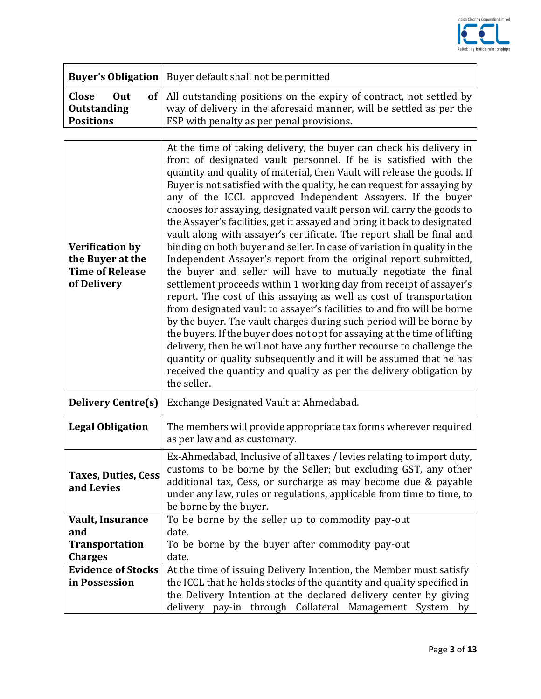

|                  | <b>Buyer's Obligation</b>   Buyer default shall not be permitted         |
|------------------|--------------------------------------------------------------------------|
| Close<br>Out     | of   All outstanding positions on the expiry of contract, not settled by |
| Outstanding      | way of delivery in the aforesaid manner, will be settled as per the      |
| <b>Positions</b> | <b>FSP</b> with penalty as per penal provisions.                         |

| <b>Verification by</b><br>the Buyer at the<br><b>Time of Release</b><br>of Delivery | At the time of taking delivery, the buyer can check his delivery in<br>front of designated vault personnel. If he is satisfied with the<br>quantity and quality of material, then Vault will release the goods. If<br>Buyer is not satisfied with the quality, he can request for assaying by<br>any of the ICCL approved Independent Assayers. If the buyer<br>chooses for assaying, designated vault person will carry the goods to<br>the Assayer's facilities, get it assayed and bring it back to designated<br>vault along with assayer's certificate. The report shall be final and<br>binding on both buyer and seller. In case of variation in quality in the<br>Independent Assayer's report from the original report submitted,<br>the buyer and seller will have to mutually negotiate the final<br>settlement proceeds within 1 working day from receipt of assayer's<br>report. The cost of this assaying as well as cost of transportation<br>from designated vault to assayer's facilities to and fro will be borne<br>by the buyer. The vault charges during such period will be borne by<br>the buyers. If the buyer does not opt for assaying at the time of lifting<br>delivery, then he will not have any further recourse to challenge the<br>quantity or quality subsequently and it will be assumed that he has<br>received the quantity and quality as per the delivery obligation by<br>the seller. |
|-------------------------------------------------------------------------------------|-------------------------------------------------------------------------------------------------------------------------------------------------------------------------------------------------------------------------------------------------------------------------------------------------------------------------------------------------------------------------------------------------------------------------------------------------------------------------------------------------------------------------------------------------------------------------------------------------------------------------------------------------------------------------------------------------------------------------------------------------------------------------------------------------------------------------------------------------------------------------------------------------------------------------------------------------------------------------------------------------------------------------------------------------------------------------------------------------------------------------------------------------------------------------------------------------------------------------------------------------------------------------------------------------------------------------------------------------------------------------------------------------------------------------------|
| <b>Delivery Centre(s)</b>                                                           | Exchange Designated Vault at Ahmedabad.                                                                                                                                                                                                                                                                                                                                                                                                                                                                                                                                                                                                                                                                                                                                                                                                                                                                                                                                                                                                                                                                                                                                                                                                                                                                                                                                                                                       |
| <b>Legal Obligation</b>                                                             | The members will provide appropriate tax forms wherever required<br>as per law and as customary.                                                                                                                                                                                                                                                                                                                                                                                                                                                                                                                                                                                                                                                                                                                                                                                                                                                                                                                                                                                                                                                                                                                                                                                                                                                                                                                              |
| <b>Taxes, Duties, Cess</b><br>and Levies                                            | Ex-Ahmedabad, Inclusive of all taxes / levies relating to import duty,<br>customs to be borne by the Seller; but excluding GST, any other<br>additional tax, Cess, or surcharge as may become due & payable<br>under any law, rules or regulations, applicable from time to time, to<br>be borne by the buyer.                                                                                                                                                                                                                                                                                                                                                                                                                                                                                                                                                                                                                                                                                                                                                                                                                                                                                                                                                                                                                                                                                                                |
| Vault, Insurance                                                                    | To be borne by the seller up to commodity pay-out                                                                                                                                                                                                                                                                                                                                                                                                                                                                                                                                                                                                                                                                                                                                                                                                                                                                                                                                                                                                                                                                                                                                                                                                                                                                                                                                                                             |
| and                                                                                 | date.                                                                                                                                                                                                                                                                                                                                                                                                                                                                                                                                                                                                                                                                                                                                                                                                                                                                                                                                                                                                                                                                                                                                                                                                                                                                                                                                                                                                                         |
| <b>Transportation</b>                                                               | To be borne by the buyer after commodity pay-out                                                                                                                                                                                                                                                                                                                                                                                                                                                                                                                                                                                                                                                                                                                                                                                                                                                                                                                                                                                                                                                                                                                                                                                                                                                                                                                                                                              |
| <b>Charges</b>                                                                      | date.                                                                                                                                                                                                                                                                                                                                                                                                                                                                                                                                                                                                                                                                                                                                                                                                                                                                                                                                                                                                                                                                                                                                                                                                                                                                                                                                                                                                                         |
| <b>Evidence of Stocks</b>                                                           | At the time of issuing Delivery Intention, the Member must satisfy                                                                                                                                                                                                                                                                                                                                                                                                                                                                                                                                                                                                                                                                                                                                                                                                                                                                                                                                                                                                                                                                                                                                                                                                                                                                                                                                                            |
| in Possession                                                                       | the ICCL that he holds stocks of the quantity and quality specified in                                                                                                                                                                                                                                                                                                                                                                                                                                                                                                                                                                                                                                                                                                                                                                                                                                                                                                                                                                                                                                                                                                                                                                                                                                                                                                                                                        |
|                                                                                     | the Delivery Intention at the declared delivery center by giving                                                                                                                                                                                                                                                                                                                                                                                                                                                                                                                                                                                                                                                                                                                                                                                                                                                                                                                                                                                                                                                                                                                                                                                                                                                                                                                                                              |
|                                                                                     | delivery pay-in through Collateral Management System by                                                                                                                                                                                                                                                                                                                                                                                                                                                                                                                                                                                                                                                                                                                                                                                                                                                                                                                                                                                                                                                                                                                                                                                                                                                                                                                                                                       |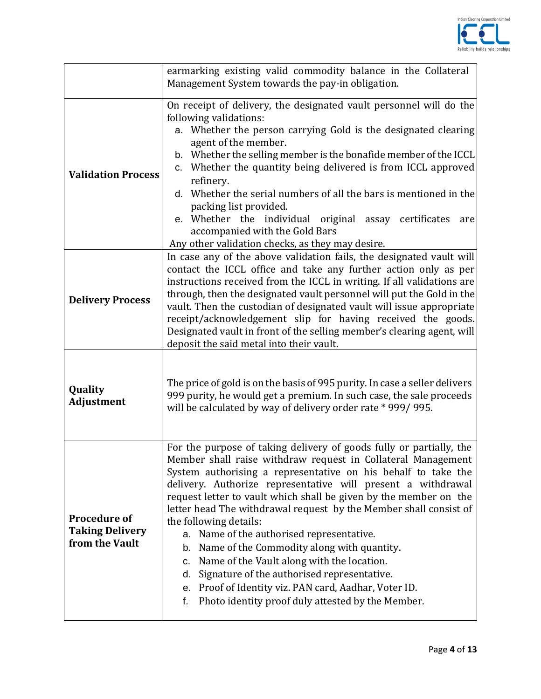

|                                                                 | earmarking existing valid commodity balance in the Collateral<br>Management System towards the pay-in obligation.                                                                                                                                                                                                                                                                                                                                                                                                                                                                                                                                                                                                                                                            |
|-----------------------------------------------------------------|------------------------------------------------------------------------------------------------------------------------------------------------------------------------------------------------------------------------------------------------------------------------------------------------------------------------------------------------------------------------------------------------------------------------------------------------------------------------------------------------------------------------------------------------------------------------------------------------------------------------------------------------------------------------------------------------------------------------------------------------------------------------------|
| <b>Validation Process</b>                                       | On receipt of delivery, the designated vault personnel will do the<br>following validations:<br>a. Whether the person carrying Gold is the designated clearing<br>agent of the member.<br>b. Whether the selling member is the bonafide member of the ICCL<br>c. Whether the quantity being delivered is from ICCL approved<br>refinery.<br>d. Whether the serial numbers of all the bars is mentioned in the<br>packing list provided.<br>e. Whether the individual original assay certificates<br>are<br>accompanied with the Gold Bars<br>Any other validation checks, as they may desire.                                                                                                                                                                                |
| <b>Delivery Process</b>                                         | In case any of the above validation fails, the designated vault will<br>contact the ICCL office and take any further action only as per<br>instructions received from the ICCL in writing. If all validations are<br>through, then the designated vault personnel will put the Gold in the<br>vault. Then the custodian of designated vault will issue appropriate<br>receipt/acknowledgement slip for having received the goods.<br>Designated vault in front of the selling member's clearing agent, will<br>deposit the said metal into their vault.                                                                                                                                                                                                                      |
| Quality<br><b>Adjustment</b>                                    | The price of gold is on the basis of 995 purity. In case a seller delivers<br>999 purity, he would get a premium. In such case, the sale proceeds<br>will be calculated by way of delivery order rate * 999/995.                                                                                                                                                                                                                                                                                                                                                                                                                                                                                                                                                             |
| <b>Procedure of</b><br><b>Taking Delivery</b><br>from the Vault | For the purpose of taking delivery of goods fully or partially, the<br>Member shall raise withdraw request in Collateral Management<br>System authorising a representative on his behalf to take the<br>delivery. Authorize representative will present a withdrawal<br>request letter to vault which shall be given by the member on the<br>letter head The withdrawal request by the Member shall consist of<br>the following details:<br>Name of the authorised representative.<br>a.<br>Name of the Commodity along with quantity.<br>b.<br>Name of the Vault along with the location.<br>c.<br>Signature of the authorised representative.<br>d.<br>Proof of Identity viz. PAN card, Aadhar, Voter ID.<br>е.<br>Photo identity proof duly attested by the Member.<br>f. |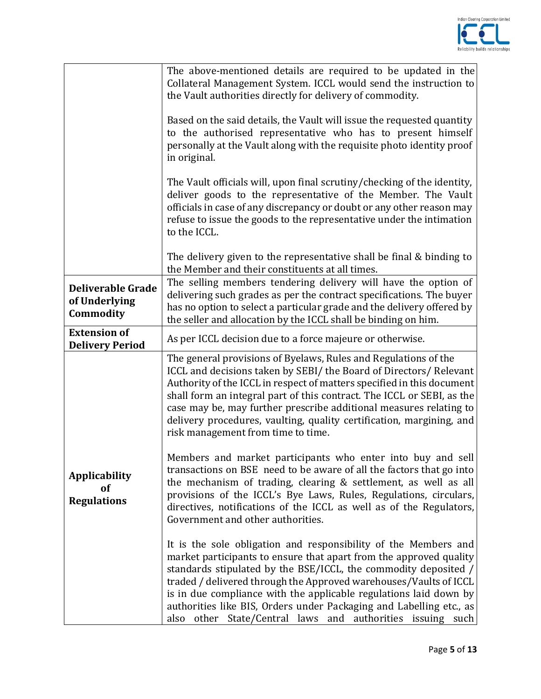

|                                                        | The above-mentioned details are required to be updated in the<br>Collateral Management System. ICCL would send the instruction to<br>the Vault authorities directly for delivery of commodity.<br>Based on the said details, the Vault will issue the requested quantity<br>to the authorised representative who has to present himself<br>personally at the Vault along with the requisite photo identity proof<br>in original.                                                           |
|--------------------------------------------------------|--------------------------------------------------------------------------------------------------------------------------------------------------------------------------------------------------------------------------------------------------------------------------------------------------------------------------------------------------------------------------------------------------------------------------------------------------------------------------------------------|
|                                                        | The Vault officials will, upon final scrutiny/checking of the identity,<br>deliver goods to the representative of the Member. The Vault<br>officials in case of any discrepancy or doubt or any other reason may<br>refuse to issue the goods to the representative under the intimation<br>to the ICCL.                                                                                                                                                                                   |
|                                                        | The delivery given to the representative shall be final & binding to<br>the Member and their constituents at all times.                                                                                                                                                                                                                                                                                                                                                                    |
| <b>Deliverable Grade</b><br>of Underlying<br>Commodity | The selling members tendering delivery will have the option of<br>delivering such grades as per the contract specifications. The buyer<br>has no option to select a particular grade and the delivery offered by<br>the seller and allocation by the ICCL shall be binding on him.                                                                                                                                                                                                         |
| <b>Extension of</b><br><b>Delivery Period</b>          | As per ICCL decision due to a force majeure or otherwise.                                                                                                                                                                                                                                                                                                                                                                                                                                  |
|                                                        | The general provisions of Byelaws, Rules and Regulations of the<br>ICCL and decisions taken by SEBI/ the Board of Directors/ Relevant<br>Authority of the ICCL in respect of matters specified in this document<br>shall form an integral part of this contract. The ICCL or SEBI, as the<br>case may be, may further prescribe additional measures relating to<br>delivery procedures, vaulting, quality certification, margining, and<br>risk management from time to time.              |
| <b>Applicability</b><br>of<br><b>Regulations</b>       | Members and market participants who enter into buy and sell<br>transactions on BSE need to be aware of all the factors that go into<br>the mechanism of trading, clearing & settlement, as well as all<br>provisions of the ICCL's Bye Laws, Rules, Regulations, circulars,<br>directives, notifications of the ICCL as well as of the Regulators,<br>Government and other authorities.                                                                                                    |
|                                                        | It is the sole obligation and responsibility of the Members and<br>market participants to ensure that apart from the approved quality<br>standards stipulated by the BSE/ICCL, the commodity deposited /<br>traded / delivered through the Approved warehouses/Vaults of ICCL<br>is in due compliance with the applicable regulations laid down by<br>authorities like BIS, Orders under Packaging and Labelling etc., as<br>other State/Central laws and authorities issuing such<br>also |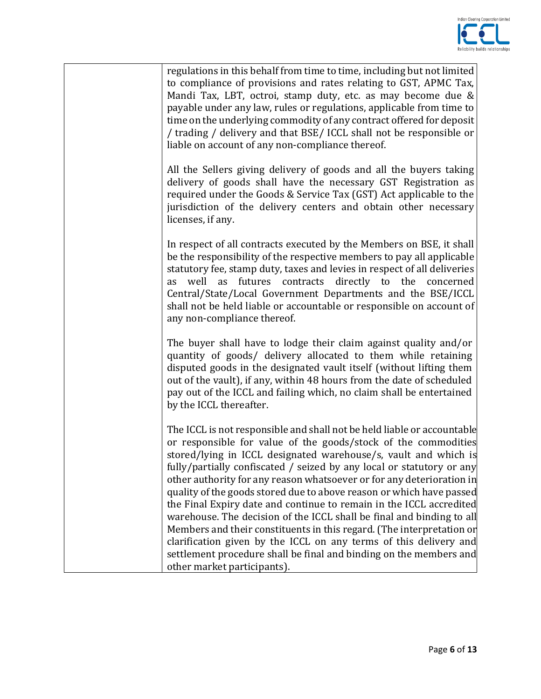

| regulations in this behalf from time to time, including but not limited<br>to compliance of provisions and rates relating to GST, APMC Tax,<br>Mandi Tax, LBT, octroi, stamp duty, etc. as may become due &<br>payable under any law, rules or regulations, applicable from time to<br>time on the underlying commodity of any contract offered for deposit<br>/ trading / delivery and that BSE/ ICCL shall not be responsible or<br>liable on account of any non-compliance thereof.                                                                                                                                                                                                                                                                                                                                                    |
|-------------------------------------------------------------------------------------------------------------------------------------------------------------------------------------------------------------------------------------------------------------------------------------------------------------------------------------------------------------------------------------------------------------------------------------------------------------------------------------------------------------------------------------------------------------------------------------------------------------------------------------------------------------------------------------------------------------------------------------------------------------------------------------------------------------------------------------------|
| All the Sellers giving delivery of goods and all the buyers taking<br>delivery of goods shall have the necessary GST Registration as<br>required under the Goods & Service Tax (GST) Act applicable to the<br>jurisdiction of the delivery centers and obtain other necessary<br>licenses, if any.                                                                                                                                                                                                                                                                                                                                                                                                                                                                                                                                        |
| In respect of all contracts executed by the Members on BSE, it shall<br>be the responsibility of the respective members to pay all applicable<br>statutory fee, stamp duty, taxes and levies in respect of all deliveries<br>as futures contracts directly to the concerned<br>well<br>as<br>Central/State/Local Government Departments and the BSE/ICCL<br>shall not be held liable or accountable or responsible on account of<br>any non-compliance thereof.                                                                                                                                                                                                                                                                                                                                                                           |
| The buyer shall have to lodge their claim against quality and/or<br>quantity of goods/ delivery allocated to them while retaining<br>disputed goods in the designated vault itself (without lifting them<br>out of the vault), if any, within 48 hours from the date of scheduled<br>pay out of the ICCL and failing which, no claim shall be entertained<br>by the ICCL thereafter.                                                                                                                                                                                                                                                                                                                                                                                                                                                      |
| The ICCL is not responsible and shall not be held liable or accountable<br>or responsible for value of the goods/stock of the commodities<br>stored/lying in ICCL designated warehouse/s, vault and which is<br>fully/partially confiscated / seized by any local or statutory or any<br>other authority for any reason whatsoever or for any deterioration in<br>quality of the goods stored due to above reason or which have passed<br>the Final Expiry date and continue to remain in the ICCL accredited<br>warehouse. The decision of the ICCL shall be final and binding to all<br>Members and their constituents in this regard. (The interpretation or<br>clarification given by the ICCL on any terms of this delivery and<br>settlement procedure shall be final and binding on the members and<br>other market participants). |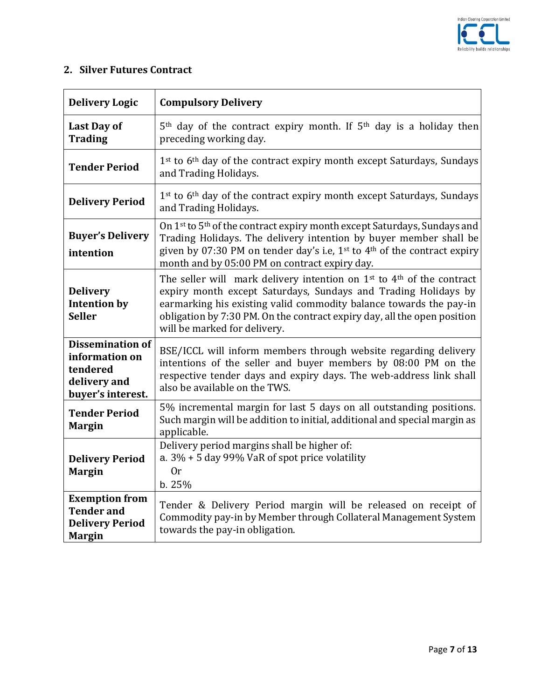

## **2. Silver Futures Contract**

| <b>Delivery Logic</b>                                                                      | <b>Compulsory Delivery</b>                                                                                                                                                                                                                                                                                                    |
|--------------------------------------------------------------------------------------------|-------------------------------------------------------------------------------------------------------------------------------------------------------------------------------------------------------------------------------------------------------------------------------------------------------------------------------|
| <b>Last Day of</b><br><b>Trading</b>                                                       | $5th$ day of the contract expiry month. If $5th$ day is a holiday then<br>preceding working day.                                                                                                                                                                                                                              |
| <b>Tender Period</b>                                                                       | 1 <sup>st</sup> to 6 <sup>th</sup> day of the contract expiry month except Saturdays, Sundays<br>and Trading Holidays.                                                                                                                                                                                                        |
| <b>Delivery Period</b>                                                                     | 1 <sup>st</sup> to 6 <sup>th</sup> day of the contract expiry month except Saturdays, Sundays<br>and Trading Holidays.                                                                                                                                                                                                        |
| <b>Buyer's Delivery</b><br>intention                                                       | On 1st to 5th of the contract expiry month except Saturdays, Sundays and<br>Trading Holidays. The delivery intention by buyer member shall be<br>given by 07:30 PM on tender day's i.e, $1st$ to $4th$ of the contract expiry<br>month and by 05:00 PM on contract expiry day.                                                |
| <b>Delivery</b><br><b>Intention by</b><br><b>Seller</b>                                    | The seller will mark delivery intention on $1st$ to $4th$ of the contract<br>expiry month except Saturdays, Sundays and Trading Holidays by<br>earmarking his existing valid commodity balance towards the pay-in<br>obligation by 7:30 PM. On the contract expiry day, all the open position<br>will be marked for delivery. |
| <b>Dissemination of</b><br>information on<br>tendered<br>delivery and<br>buyer's interest. | BSE/ICCL will inform members through website regarding delivery<br>intentions of the seller and buyer members by 08:00 PM on the<br>respective tender days and expiry days. The web-address link shall<br>also be available on the TWS.                                                                                       |
| <b>Tender Period</b><br><b>Margin</b>                                                      | 5% incremental margin for last 5 days on all outstanding positions.<br>Such margin will be addition to initial, additional and special margin as<br>applicable.                                                                                                                                                               |
| <b>Delivery Period</b><br><b>Margin</b>                                                    | Delivery period margins shall be higher of:<br>a. $3\%$ + 5 day 99% VaR of spot price volatility<br>0r<br>b.25%                                                                                                                                                                                                               |
| <b>Exemption from</b><br><b>Tender and</b><br><b>Delivery Period</b><br><b>Margin</b>      | Tender & Delivery Period margin will be released on receipt of<br>Commodity pay-in by Member through Collateral Management System<br>towards the pay-in obligation.                                                                                                                                                           |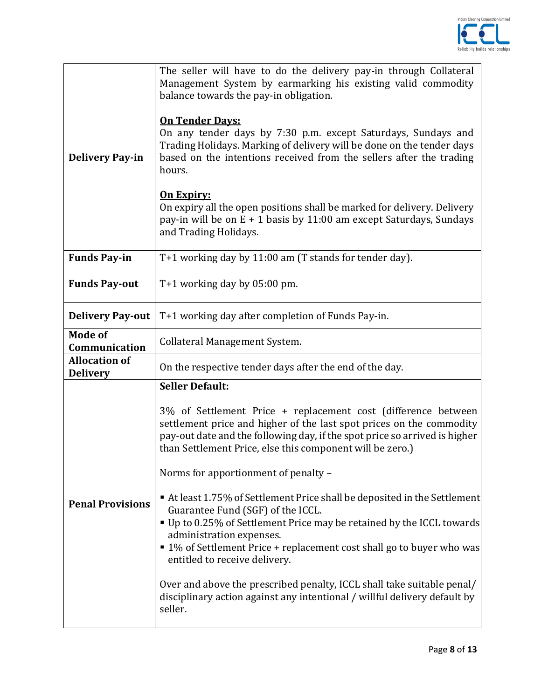

| <b>Delivery Pay-in</b>                  | The seller will have to do the delivery pay-in through Collateral<br>Management System by earmarking his existing valid commodity<br>balance towards the pay-in obligation.<br><b>On Tender Days:</b><br>On any tender days by 7:30 p.m. except Saturdays, Sundays and<br>Trading Holidays. Marking of delivery will be done on the tender days<br>based on the intentions received from the sellers after the trading<br>hours.<br><b>On Expiry:</b><br>On expiry all the open positions shall be marked for delivery. Delivery<br>pay-in will be on $E + 1$ basis by 11:00 am except Saturdays, Sundays<br>and Trading Holidays. |
|-----------------------------------------|------------------------------------------------------------------------------------------------------------------------------------------------------------------------------------------------------------------------------------------------------------------------------------------------------------------------------------------------------------------------------------------------------------------------------------------------------------------------------------------------------------------------------------------------------------------------------------------------------------------------------------|
| <b>Funds Pay-in</b>                     | T+1 working day by 11:00 am (T stands for tender day).                                                                                                                                                                                                                                                                                                                                                                                                                                                                                                                                                                             |
| <b>Funds Pay-out</b>                    | $T+1$ working day by 05:00 pm.                                                                                                                                                                                                                                                                                                                                                                                                                                                                                                                                                                                                     |
| <b>Delivery Pay-out</b>                 | T+1 working day after completion of Funds Pay-in.                                                                                                                                                                                                                                                                                                                                                                                                                                                                                                                                                                                  |
| <b>Mode of</b><br>Communication         | Collateral Management System.                                                                                                                                                                                                                                                                                                                                                                                                                                                                                                                                                                                                      |
| <b>Allocation of</b><br><b>Delivery</b> | On the respective tender days after the end of the day.                                                                                                                                                                                                                                                                                                                                                                                                                                                                                                                                                                            |
|                                         | <b>Seller Default:</b>                                                                                                                                                                                                                                                                                                                                                                                                                                                                                                                                                                                                             |
| <b>Penal Provisions</b>                 | 3% of Settlement Price + replacement cost (difference between<br>settlement price and higher of the last spot prices on the commodity<br>pay-out date and the following day, if the spot price so arrived is higher<br>than Settlement Price, else this component will be zero.)<br>Norms for apportionment of penalty -<br>At least 1.75% of Settlement Price shall be deposited in the Settlement<br>Guarantee Fund (SGF) of the ICCL.<br>■ Up to 0.25% of Settlement Price may be retained by the ICCL towards<br>administration expenses.<br>■ 1% of Settlement Price + replacement cost shall go to buyer who was             |
|                                         | entitled to receive delivery.<br>Over and above the prescribed penalty, ICCL shall take suitable penal/<br>disciplinary action against any intentional / willful delivery default by<br>seller.                                                                                                                                                                                                                                                                                                                                                                                                                                    |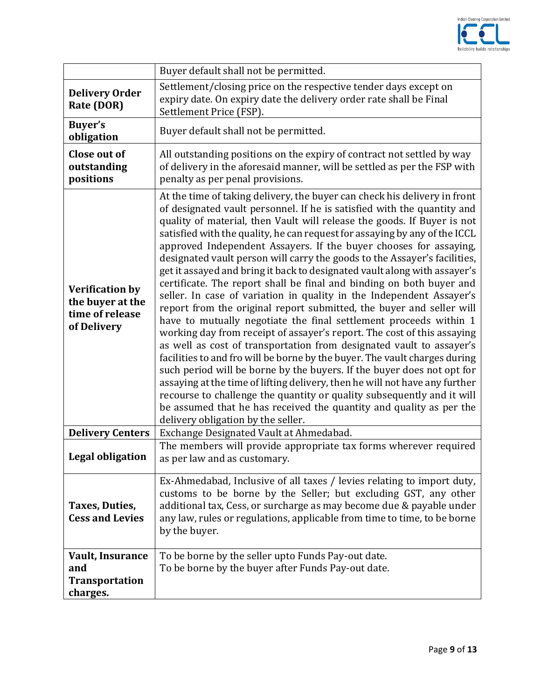

|                                                                              | Buyer default shall not be permitted.                                                                                                                                                                                                                                                                                                                                                                                                                                                                                                                                                                                                                                                                                                                                                                                                                                                                                                                                                                                                                                                                                                                                                                                                                                                                                                                                                                                      |
|------------------------------------------------------------------------------|----------------------------------------------------------------------------------------------------------------------------------------------------------------------------------------------------------------------------------------------------------------------------------------------------------------------------------------------------------------------------------------------------------------------------------------------------------------------------------------------------------------------------------------------------------------------------------------------------------------------------------------------------------------------------------------------------------------------------------------------------------------------------------------------------------------------------------------------------------------------------------------------------------------------------------------------------------------------------------------------------------------------------------------------------------------------------------------------------------------------------------------------------------------------------------------------------------------------------------------------------------------------------------------------------------------------------------------------------------------------------------------------------------------------------|
| <b>Delivery Order</b><br>Rate (DOR)                                          | Settlement/closing price on the respective tender days except on<br>expiry date. On expiry date the delivery order rate shall be Final<br>Settlement Price (FSP).                                                                                                                                                                                                                                                                                                                                                                                                                                                                                                                                                                                                                                                                                                                                                                                                                                                                                                                                                                                                                                                                                                                                                                                                                                                          |
| <b>Buyer's</b><br>obligation                                                 | Buyer default shall not be permitted.                                                                                                                                                                                                                                                                                                                                                                                                                                                                                                                                                                                                                                                                                                                                                                                                                                                                                                                                                                                                                                                                                                                                                                                                                                                                                                                                                                                      |
| Close out of<br>outstanding<br>positions                                     | All outstanding positions on the expiry of contract not settled by way<br>of delivery in the aforesaid manner, will be settled as per the FSP with<br>penalty as per penal provisions.                                                                                                                                                                                                                                                                                                                                                                                                                                                                                                                                                                                                                                                                                                                                                                                                                                                                                                                                                                                                                                                                                                                                                                                                                                     |
| <b>Verification by</b><br>the buyer at the<br>time of release<br>of Delivery | At the time of taking delivery, the buyer can check his delivery in front<br>of designated vault personnel. If he is satisfied with the quantity and<br>quality of material, then Vault will release the goods. If Buyer is not<br>satisfied with the quality, he can request for assaying by any of the ICCL<br>approved Independent Assayers. If the buyer chooses for assaying,<br>designated vault person will carry the goods to the Assayer's facilities,<br>get it assayed and bring it back to designated vault along with assayer's<br>certificate. The report shall be final and binding on both buyer and<br>seller. In case of variation in quality in the Independent Assayer's<br>report from the original report submitted, the buyer and seller will<br>have to mutually negotiate the final settlement proceeds within 1<br>working day from receipt of assayer's report. The cost of this assaying<br>as well as cost of transportation from designated vault to assayer's<br>facilities to and fro will be borne by the buyer. The vault charges during<br>such period will be borne by the buyers. If the buyer does not opt for<br>assaying at the time of lifting delivery, then he will not have any further<br>recourse to challenge the quantity or quality subsequently and it will<br>be assumed that he has received the quantity and quality as per the<br>delivery obligation by the seller. |
| <b>Delivery Centers</b>                                                      | Exchange Designated Vault at Ahmedabad.                                                                                                                                                                                                                                                                                                                                                                                                                                                                                                                                                                                                                                                                                                                                                                                                                                                                                                                                                                                                                                                                                                                                                                                                                                                                                                                                                                                    |
| <b>Legal obligation</b>                                                      | The members will provide appropriate tax forms wherever required<br>as per law and as customary.                                                                                                                                                                                                                                                                                                                                                                                                                                                                                                                                                                                                                                                                                                                                                                                                                                                                                                                                                                                                                                                                                                                                                                                                                                                                                                                           |
| Taxes, Duties,<br><b>Cess and Levies</b>                                     | Ex-Ahmedabad, Inclusive of all taxes / levies relating to import duty,<br>customs to be borne by the Seller; but excluding GST, any other<br>additional tax, Cess, or surcharge as may become due & payable under<br>any law, rules or regulations, applicable from time to time, to be borne<br>by the buyer.                                                                                                                                                                                                                                                                                                                                                                                                                                                                                                                                                                                                                                                                                                                                                                                                                                                                                                                                                                                                                                                                                                             |
| <b>Vault, Insurance</b><br>and<br><b>Transportation</b><br>charges.          | To be borne by the seller upto Funds Pay-out date.<br>To be borne by the buyer after Funds Pay-out date.                                                                                                                                                                                                                                                                                                                                                                                                                                                                                                                                                                                                                                                                                                                                                                                                                                                                                                                                                                                                                                                                                                                                                                                                                                                                                                                   |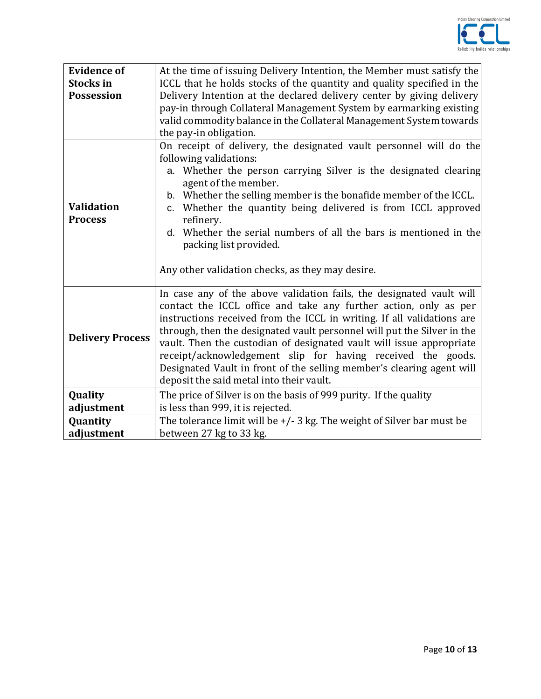

| <b>Evidence of</b>      | At the time of issuing Delivery Intention, the Member must satisfy the                   |
|-------------------------|------------------------------------------------------------------------------------------|
| <b>Stocks</b> in        | ICCL that he holds stocks of the quantity and quality specified in the                   |
| <b>Possession</b>       | Delivery Intention at the declared delivery center by giving delivery                    |
|                         | pay-in through Collateral Management System by earmarking existing                       |
|                         | valid commodity balance in the Collateral Management System towards                      |
|                         | the pay-in obligation.                                                                   |
|                         | On receipt of delivery, the designated vault personnel will do the                       |
|                         | following validations:                                                                   |
|                         | a. Whether the person carrying Silver is the designated clearing<br>agent of the member. |
|                         | b. Whether the selling member is the bonafide member of the ICCL.                        |
| <b>Validation</b>       | c. Whether the quantity being delivered is from ICCL approved                            |
| <b>Process</b>          | refinery.                                                                                |
|                         | d. Whether the serial numbers of all the bars is mentioned in the                        |
|                         | packing list provided.                                                                   |
|                         |                                                                                          |
|                         | Any other validation checks, as they may desire.                                         |
|                         | In case any of the above validation fails, the designated vault will                     |
|                         | contact the ICCL office and take any further action, only as per                         |
|                         | instructions received from the ICCL in writing. If all validations are                   |
| <b>Delivery Process</b> | through, then the designated vault personnel will put the Silver in the                  |
|                         | vault. Then the custodian of designated vault will issue appropriate                     |
|                         | receipt/acknowledgement slip for having received the goods.                              |
|                         | Designated Vault in front of the selling member's clearing agent will                    |
|                         | deposit the said metal into their vault.                                                 |
| Quality                 | The price of Silver is on the basis of 999 purity. If the quality                        |
| adjustment              | is less than 999, it is rejected.                                                        |
| Quantity                | The tolerance limit will be $+/-3$ kg. The weight of Silver bar must be                  |
| adjustment              | between 27 kg to 33 kg.                                                                  |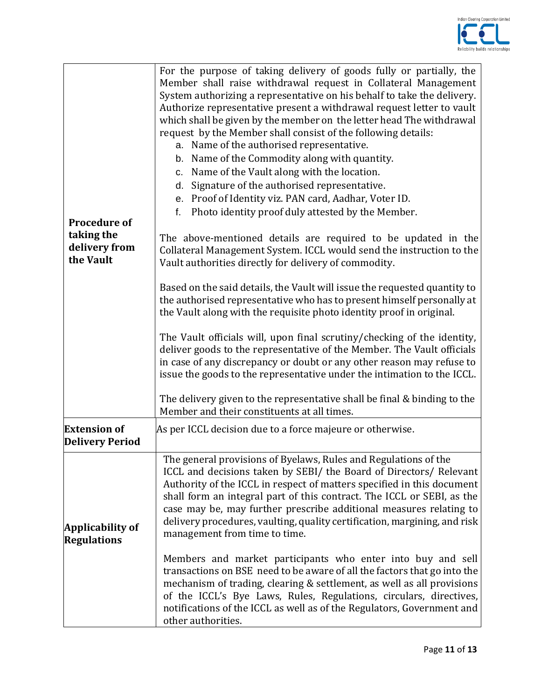

| <b>Procedure of</b><br>taking the<br>delivery from<br>the Vault | For the purpose of taking delivery of goods fully or partially, the<br>Member shall raise withdrawal request in Collateral Management<br>System authorizing a representative on his behalf to take the delivery.<br>Authorize representative present a withdrawal request letter to vault<br>which shall be given by the member on the letter head The withdrawal<br>request by the Member shall consist of the following details:<br>a. Name of the authorised representative.<br>b. Name of the Commodity along with quantity.<br>c. Name of the Vault along with the location.<br>Signature of the authorised representative.<br>d.<br>e. Proof of Identity viz. PAN card, Aadhar, Voter ID.<br>Photo identity proof duly attested by the Member.<br>f.<br>The above-mentioned details are required to be updated in the<br>Collateral Management System. ICCL would send the instruction to the<br>Vault authorities directly for delivery of commodity.<br>Based on the said details, the Vault will issue the requested quantity to<br>the authorised representative who has to present himself personally at<br>the Vault along with the requisite photo identity proof in original.<br>The Vault officials will, upon final scrutiny/checking of the identity,<br>deliver goods to the representative of the Member. The Vault officials<br>in case of any discrepancy or doubt or any other reason may refuse to<br>issue the goods to the representative under the intimation to the ICCL.<br>The delivery given to the representative shall be final & binding to the<br>Member and their constituents at all times. |
|-----------------------------------------------------------------|---------------------------------------------------------------------------------------------------------------------------------------------------------------------------------------------------------------------------------------------------------------------------------------------------------------------------------------------------------------------------------------------------------------------------------------------------------------------------------------------------------------------------------------------------------------------------------------------------------------------------------------------------------------------------------------------------------------------------------------------------------------------------------------------------------------------------------------------------------------------------------------------------------------------------------------------------------------------------------------------------------------------------------------------------------------------------------------------------------------------------------------------------------------------------------------------------------------------------------------------------------------------------------------------------------------------------------------------------------------------------------------------------------------------------------------------------------------------------------------------------------------------------------------------------------------------------------------------------------------------------------|
| <b>Extension of</b><br><b>Delivery Period</b>                   | As per ICCL decision due to a force majeure or otherwise.                                                                                                                                                                                                                                                                                                                                                                                                                                                                                                                                                                                                                                                                                                                                                                                                                                                                                                                                                                                                                                                                                                                                                                                                                                                                                                                                                                                                                                                                                                                                                                       |
| Applicability of<br><b>Regulations</b>                          | The general provisions of Byelaws, Rules and Regulations of the<br>ICCL and decisions taken by SEBI/ the Board of Directors/ Relevant<br>Authority of the ICCL in respect of matters specified in this document<br>shall form an integral part of this contract. The ICCL or SEBI, as the<br>case may be, may further prescribe additional measures relating to<br>delivery procedures, vaulting, quality certification, margining, and risk<br>management from time to time.<br>Members and market participants who enter into buy and sell<br>transactions on BSE need to be aware of all the factors that go into the<br>mechanism of trading, clearing & settlement, as well as all provisions<br>of the ICCL's Bye Laws, Rules, Regulations, circulars, directives,<br>notifications of the ICCL as well as of the Regulators, Government and<br>other authorities.                                                                                                                                                                                                                                                                                                                                                                                                                                                                                                                                                                                                                                                                                                                                                        |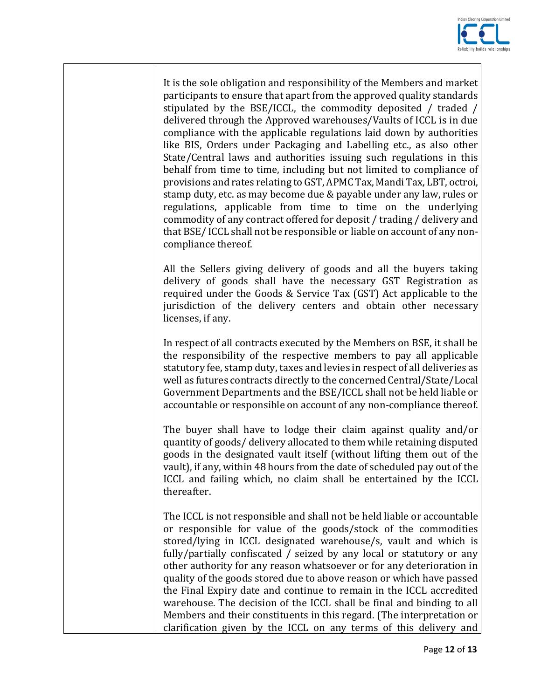

It is the sole obligation and responsibility of the Members and market participants to ensure that apart from the approved quality standards stipulated by the BSE/ICCL, the commodity deposited / traded / delivered through the Approved warehouses/Vaults of ICCL is in due compliance with the applicable regulations laid down by authorities like BIS, Orders under Packaging and Labelling etc., as also other State/Central laws and authorities issuing such regulations in this behalf from time to time, including but not limited to compliance of provisions and rates relating to GST, APMC Tax, Mandi Tax, LBT, octroi, stamp duty, etc. as may become due & payable under any law, rules or regulations, applicable from time to time on the underlying commodity of any contract offered for deposit / trading / delivery and that BSE/ ICCL shall not be responsible or liable on account of any noncompliance thereof.

All the Sellers giving delivery of goods and all the buyers taking delivery of goods shall have the necessary GST Registration as required under the Goods & Service Tax (GST) Act applicable to the jurisdiction of the delivery centers and obtain other necessary licenses, if any.

In respect of all contracts executed by the Members on BSE, it shall be the responsibility of the respective members to pay all applicable statutory fee, stamp duty, taxes and levies in respect of all deliveries as well as futures contracts directly to the concerned Central/State/Local Government Departments and the BSE/ICCL shall not be held liable or accountable or responsible on account of any non-compliance thereof.

The buyer shall have to lodge their claim against quality and/or quantity of goods/ delivery allocated to them while retaining disputed goods in the designated vault itself (without lifting them out of the vault), if any, within 48 hours from the date of scheduled pay out of the ICCL and failing which, no claim shall be entertained by the ICCL thereafter.

The ICCL is not responsible and shall not be held liable or accountable or responsible for value of the goods/stock of the commodities stored/lying in ICCL designated warehouse/s, vault and which is fully/partially confiscated / seized by any local or statutory or any other authority for any reason whatsoever or for any deterioration in quality of the goods stored due to above reason or which have passed the Final Expiry date and continue to remain in the ICCL accredited warehouse. The decision of the ICCL shall be final and binding to all Members and their constituents in this regard. (The interpretation or clarification given by the ICCL on any terms of this delivery and